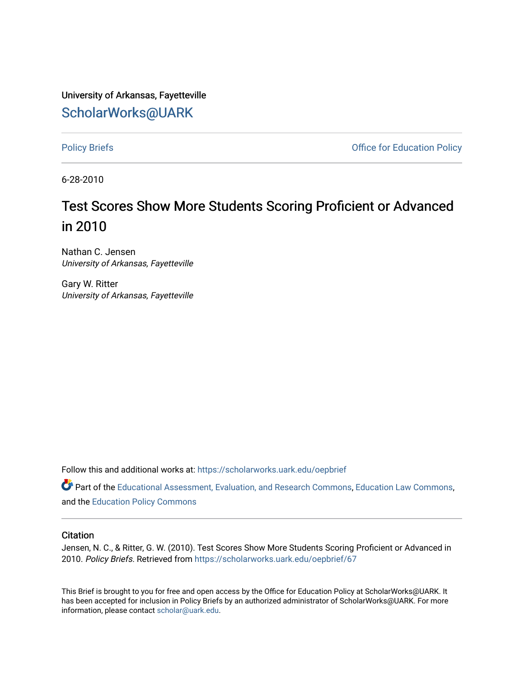University of Arkansas, Fayetteville [ScholarWorks@UARK](https://scholarworks.uark.edu/) 

[Policy Briefs](https://scholarworks.uark.edu/oepbrief) **Policy Briefs Policy** Briefs **COLLECT COLLECT COLLECT COLLECT COLLECT COLLECT COLLECT COLLECT COLLECT COLLECT COLLECT COLLECT COLLECT COLLECT COLLECT COLLECT COLLECT COLLE** 

6-28-2010

# Test Scores Show More Students Scoring Proficient or Advanced in 2010

Nathan C. Jensen University of Arkansas, Fayetteville

Gary W. Ritter University of Arkansas, Fayetteville

Follow this and additional works at: [https://scholarworks.uark.edu/oepbrief](https://scholarworks.uark.edu/oepbrief?utm_source=scholarworks.uark.edu%2Foepbrief%2F67&utm_medium=PDF&utm_campaign=PDFCoverPages) 

Part of the [Educational Assessment, Evaluation, and Research Commons](http://network.bepress.com/hgg/discipline/796?utm_source=scholarworks.uark.edu%2Foepbrief%2F67&utm_medium=PDF&utm_campaign=PDFCoverPages), [Education Law Commons](http://network.bepress.com/hgg/discipline/596?utm_source=scholarworks.uark.edu%2Foepbrief%2F67&utm_medium=PDF&utm_campaign=PDFCoverPages), and the [Education Policy Commons](http://network.bepress.com/hgg/discipline/1026?utm_source=scholarworks.uark.edu%2Foepbrief%2F67&utm_medium=PDF&utm_campaign=PDFCoverPages) 

#### **Citation**

Jensen, N. C., & Ritter, G. W. (2010). Test Scores Show More Students Scoring Proficient or Advanced in 2010. Policy Briefs. Retrieved from [https://scholarworks.uark.edu/oepbrief/67](https://scholarworks.uark.edu/oepbrief/67?utm_source=scholarworks.uark.edu%2Foepbrief%2F67&utm_medium=PDF&utm_campaign=PDFCoverPages) 

This Brief is brought to you for free and open access by the Office for Education Policy at ScholarWorks@UARK. It has been accepted for inclusion in Policy Briefs by an authorized administrator of ScholarWorks@UARK. For more information, please contact [scholar@uark.edu.](mailto:scholar@uark.edu)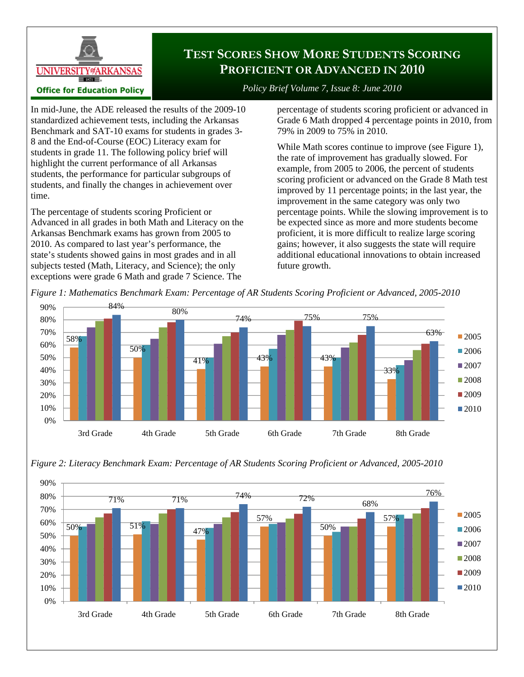

# **TEST SCORES SHOW MORE STUDENTS SCORING PROFICIENT OR ADVANCED IN 2010**

*Policy Brief Volume 7, Issue 8: June 2010* 

In mid-June, the ADE released the results of the 2009-10 standardized achievement tests, including the Arkansas Benchmark and SAT-10 exams for students in grades 3- 8 and the End-of-Course (EOC) Literacy exam for students in grade 11. The following policy brief will highlight the current performance of all Arkansas students, the performance for particular subgroups of students, and finally the changes in achievement over time.

The percentage of students scoring Proficient or Advanced in all grades in both Math and Literacy on the Arkansas Benchmark exams has grown from 2005 to 2010. As compared to last year's performance, the state's students showed gains in most grades and in all subjects tested (Math, Literacy, and Science); the only exceptions were grade 6 Math and grade 7 Science. The

percentage of students scoring proficient or advanced in Grade 6 Math dropped 4 percentage points in 2010, from 79% in 2009 to 75% in 2010.

While Math scores continue to improve (see Figure 1), the rate of improvement has gradually slowed. For example, from 2005 to 2006, the percent of students scoring proficient or advanced on the Grade 8 Math test improved by 11 percentage points; in the last year, the improvement in the same category was only two percentage points. While the slowing improvement is to be expected since as more and more students become proficient, it is more difficult to realize large scoring gains; however, it also suggests the state will require additional educational innovations to obtain increased future growth.





*Figure 2: Literacy Benchmark Exam: Percentage of AR Students Scoring Proficient or Advanced, 2005-2010*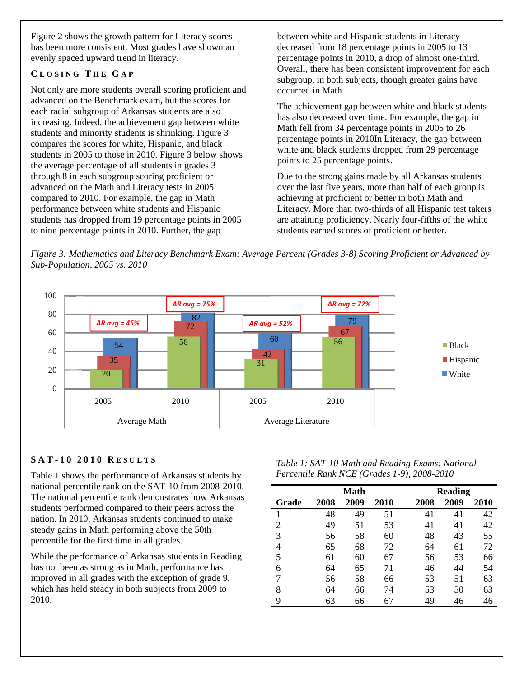Figure 2 shows the growth pattern for Literacy scores has been more consistent. Most grades have shown an evenly spaced upward trend in literacy.

## **C LOSING T HE G A P**

Not only are more students overall scoring proficient and advanced on the Benchmark exam, but the scores for each racial subgroup of Arkansas students are also increasing. Indeed, the achievement gap between white students and minority students is shrinking. Figure 3 compares the scores for white, Hispanic, and black students in 2005 to those in 2010. Figure 3 below shows the average percentage of all students in grades 3 through 8 in each subgroup scoring proficient or advanced on the Math and Literacy tests in 2005 compared to 2010. For example, the gap in Math performance between white students and Hispanic students has dropped from 19 percentage points in 2005 to nine percentage points in 2010. Further, the gap

between white and Hispanic students in Literacy decreased from 18 percentage points in 2005 to 13 percentage points in 2010, a drop of almost one-third. Overall, there has been consistent improvement for each subgroup, in both subjects, though greater gains have occurred in Math.

The achievement gap between white and black students has also decreased over time. For example, the gap in Math fell from 34 percentage points in 2005 to 26 percentage points in 2010In Literacy, the gap between white and black students dropped from 29 percentage points to 25 percentage points.

Due to the strong gains made by all Arkansas students over the last five years, more than half of each group is achieving at proficient or better in both Math and Literacy. More than two-thirds of all Hispanic test takers are attaining proficiency. Nearly four-fifths of the white students earned scores of proficient or better.

*Figure 3: Mathematics and Literacy Benchmark Exam: Average Percent (Grades 3-8) Scoring Proficient or Advanced by Sub-Population, 2005 vs. 2010* 



## **SAT-10 2010 R ESULTS**

Table 1 shows the performance of Arkansas students by national percentile rank on the SAT-10 from 2008-2010. The national percentile rank demonstrates how Arkansas students performed compared to their peers across the nation. In 2010, Arkansas students continued to make steady gains in Math performing above the 50th percentile for the first time in all grades.

While the performance of Arkansas students in Reading has not been as strong as in Math, performance has improved in all grades with the exception of grade 9, which has held steady in both subjects from 2009 to 2010.

*Table 1: SAT-10 Math and Reading Exams: National Percentile Rank NCE (Grades 1-9), 2008-2010* 

|                | Math |      |      |      | <b>Reading</b> |             |  |
|----------------|------|------|------|------|----------------|-------------|--|
| Grade          | 2008 | 2009 | 2010 | 2008 | 2009           | <b>2010</b> |  |
|                | 48   | 49   | 51   | 41   | 41             | 42          |  |
| $\overline{2}$ | 49   | 51   | 53   | 41   | 41             | 42          |  |
| 3              | 56   | 58   | 60   | 48   | 43             | 55          |  |
| 4              | 65   | 68   | 72   | 64   | 61             | 72          |  |
| 5              | 61   | 60   | 67   | 56   | 53             | 66          |  |
| 6              | 64   | 65   | 71   | 46   | 44             | 54          |  |
| 7              | 56   | 58   | 66   | 53   | 51             | 63          |  |
| 8              | 64   | 66   | 74   | 53   | 50             | 63          |  |
| 9              | 63   | 66   | 67   | 49   | 46             | 46          |  |